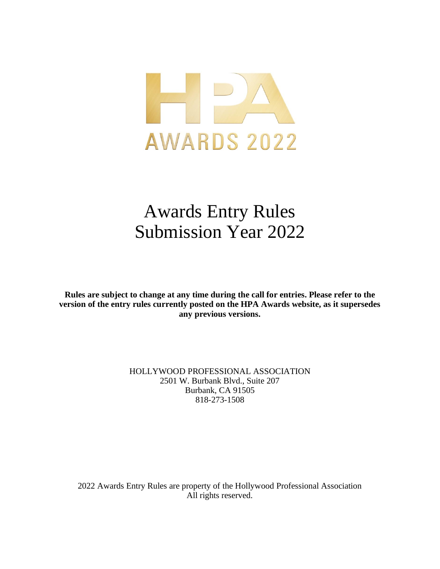

# Awards Entry Rules Submission Year 2022

**Rules are subject to change at any time during the call for entries. Please refer to the version of the entry rules currently posted on the HPA Awards website, as it supersedes any previous versions.**

> HOLLYWOOD PROFESSIONAL ASSOCIATION 2501 W. Burbank Blvd., Suite 207 Burbank, CA 91505 818-273-1508

2022 Awards Entry Rules are property of the Hollywood Professional Association All rights reserved.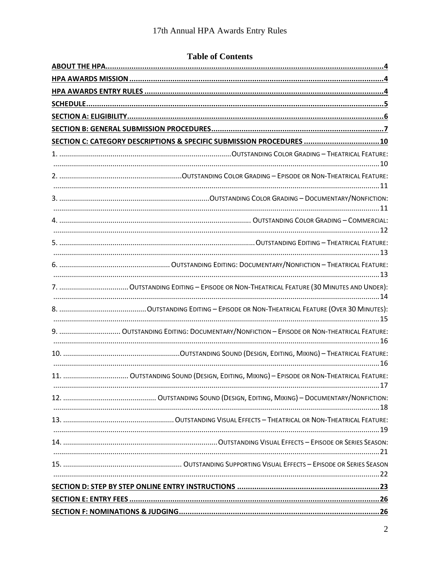# **Table of Contents**

| SECTION C: CATEGORY DESCRIPTIONS & SPECIFIC SUBMISSION PROCEDURES  10                 |
|---------------------------------------------------------------------------------------|
|                                                                                       |
|                                                                                       |
|                                                                                       |
|                                                                                       |
|                                                                                       |
|                                                                                       |
|                                                                                       |
|                                                                                       |
|                                                                                       |
|                                                                                       |
|                                                                                       |
|                                                                                       |
|                                                                                       |
| 9.  OUTSTANDING EDITING: DOCUMENTARY/NONFICTION - EPISODE OR NON-THEATRICAL FEATURE:  |
|                                                                                       |
|                                                                                       |
|                                                                                       |
| 11.  OUTSTANDING SOUND (DESIGN, EDITING, MIXING) - EPISODE OR NON-THEATRICAL FEATURE: |
|                                                                                       |
|                                                                                       |
|                                                                                       |
|                                                                                       |
|                                                                                       |
|                                                                                       |
|                                                                                       |
|                                                                                       |
|                                                                                       |
|                                                                                       |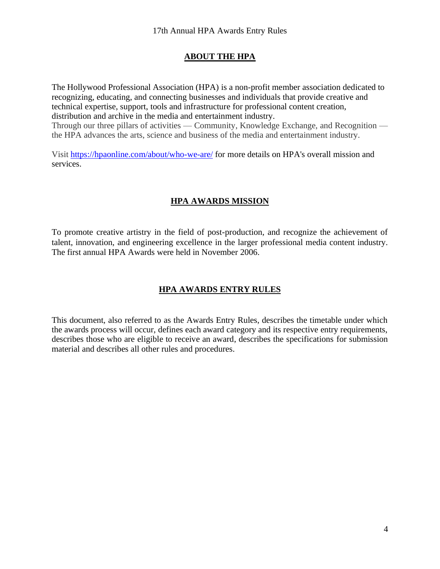#### **ABOUT THE HPA**

<span id="page-3-0"></span>The Hollywood Professional Association (HPA) is a non-profit member association dedicated to recognizing, educating, and connecting businesses and individuals that provide creative and technical expertise, support, tools and infrastructure for professional content creation, distribution and archive in the media and entertainment industry. Through our three pillars of activities — Community, Knowledge Exchange, and Recognition the HPA advances the arts, science and business of the media and entertainment industry.

<span id="page-3-1"></span>Visit<https://hpaonline.com/about/who-we-are/> for more details on HPA's overall mission and services.

# **HPA AWARDS MISSION**

To promote creative artistry in the field of post-production, and recognize the achievement of talent, innovation, and engineering excellence in the larger professional media content industry. The first annual HPA Awards were held in November 2006.

# **HPA AWARDS ENTRY RULES**

<span id="page-3-2"></span>This document, also referred to as the Awards Entry Rules, describes the timetable under which the awards process will occur, defines each award category and its respective entry requirements, describes those who are eligible to receive an award, describes the specifications for submission material and describes all other rules and procedures.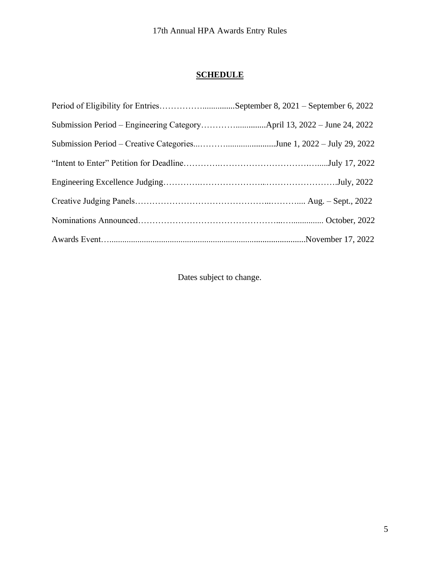# **SCHEDULE**

<span id="page-4-0"></span>

| Period of Eligibility for EntriesSeptember 8, 2021 – September 6, 2022 |  |
|------------------------------------------------------------------------|--|
|                                                                        |  |
| Submission Period - Creative CategoriesJune 1, 2022 - July 29, 2022    |  |
|                                                                        |  |
|                                                                        |  |
|                                                                        |  |
|                                                                        |  |
|                                                                        |  |

Dates subject to change.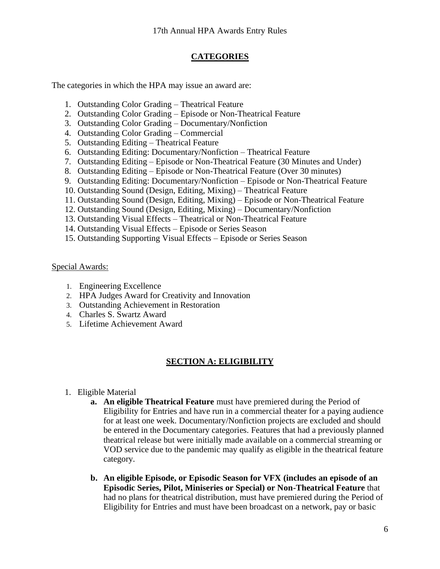# **CATEGORIES**

The categories in which the HPA may issue an award are:

- 1. Outstanding Color Grading Theatrical Feature
- 2. Outstanding Color Grading Episode or Non-Theatrical Feature
- 3. Outstanding Color Grading Documentary/Nonfiction
- 4. Outstanding Color Grading Commercial
- 5. Outstanding Editing Theatrical Feature
- 6. Outstanding Editing: Documentary/Nonfiction Theatrical Feature
- 7. Outstanding Editing Episode or Non-Theatrical Feature (30 Minutes and Under)
- 8. Outstanding Editing Episode or Non-Theatrical Feature (Over 30 minutes)
- 9. Outstanding Editing: Documentary/Nonfiction Episode or Non-Theatrical Feature
- 10. Outstanding Sound (Design, Editing, Mixing) Theatrical Feature
- 11. Outstanding Sound (Design, Editing, Mixing) Episode or Non-Theatrical Feature
- 12. Outstanding Sound (Design, Editing, Mixing) Documentary/Nonfiction
- 13. Outstanding Visual Effects Theatrical or Non-Theatrical Feature
- 14. Outstanding Visual Effects Episode or Series Season
- 15. Outstanding Supporting Visual Effects Episode or Series Season

#### Special Awards:

- 1. Engineering Excellence
- 2. HPA Judges Award for Creativity and Innovation
- 3. Outstanding Achievement in Restoration
- 4. Charles S. Swartz Award
- <span id="page-5-0"></span>5. Lifetime Achievement Award

# **SECTION A: ELIGIBILITY**

- 1. Eligible Material
	- **a. An eligible Theatrical Feature** must have premiered during the Period of Eligibility for Entries and have run in a commercial theater for a paying audience for at least one week. Documentary/Nonfiction projects are excluded and should be entered in the Documentary categories. Features that had a previously planned theatrical release but were initially made available on a commercial streaming or VOD service due to the pandemic may qualify as eligible in the theatrical feature category.
	- **b. An eligible Episode, or Episodic Season for VFX (includes an episode of an Episodic Series, Pilot, Miniseries or Special) or Non-Theatrical Feature** that had no plans for theatrical distribution, must have premiered during the Period of Eligibility for Entries and must have been broadcast on a network, pay or basic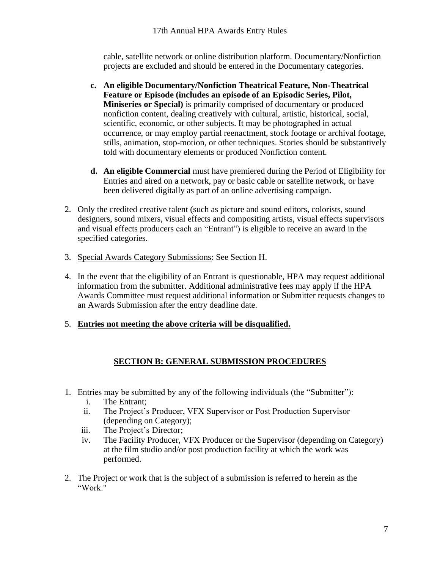cable, satellite network or online distribution platform. Documentary/Nonfiction projects are excluded and should be entered in the Documentary categories.

- **c. An eligible Documentary/Nonfiction Theatrical Feature, Non-Theatrical Feature or Episode (includes an episode of an Episodic Series, Pilot, Miniseries or Special)** is primarily comprised of documentary or produced nonfiction content, dealing creatively with cultural, artistic, historical, social, scientific, economic, or other subjects. It may be photographed in actual occurrence, or may employ partial reenactment, stock footage or archival footage, stills, animation, stop-motion, or other techniques. Stories should be substantively told with documentary elements or produced Nonfiction content.
- **d. An eligible Commercial** must have premiered during the Period of Eligibility for Entries and aired on a network, pay or basic cable or satellite network, or have been delivered digitally as part of an online advertising campaign.
- 2. Only the credited creative talent (such as picture and sound editors, colorists, sound designers, sound mixers, visual effects and compositing artists, visual effects supervisors and visual effects producers each an "Entrant") is eligible to receive an award in the specified categories.
- 3. Special Awards Category Submissions: See Section H.
- 4. In the event that the eligibility of an Entrant is questionable, HPA may request additional information from the submitter. Additional administrative fees may apply if the HPA Awards Committee must request additional information or Submitter requests changes to an Awards Submission after the entry deadline date.
- <span id="page-6-0"></span>5. **Entries not meeting the above criteria will be disqualified.**

# **SECTION B: GENERAL SUBMISSION PROCEDURES**

- 1. Entries may be submitted by any of the following individuals (the "Submitter"):
	- i. The Entrant;
	- ii. The Project's Producer, VFX Supervisor or Post Production Supervisor (depending on Category);
	- iii. The Project's Director;
	- iv. The Facility Producer, VFX Producer or the Supervisor (depending on Category) at the film studio and/or post production facility at which the work was performed.
- 2. The Project or work that is the subject of a submission is referred to herein as the "Work."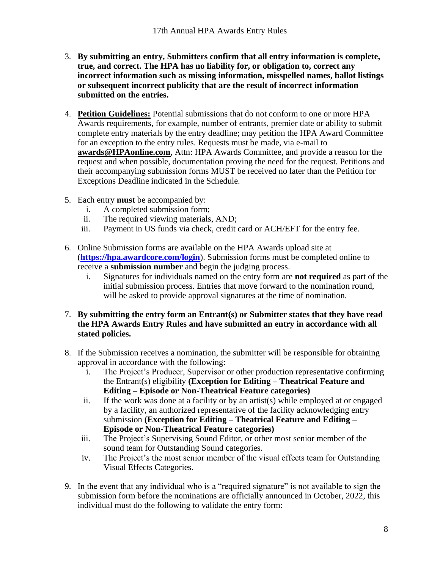- 3. **By submitting an entry, Submitters confirm that all entry information is complete, true, and correct. The HPA has no liability for, or obligation to, correct any incorrect information such as missing information, misspelled names, ballot listings or subsequent incorrect publicity that are the result of incorrect information submitted on the entries.**
- 4. **Petition Guidelines:** Potential submissions that do not conform to one or more HPA Awards requirements, for example, number of entrants, premier date or ability to submit complete entry materials by the entry deadline; may petition the HPA Award Committee for an exception to the entry rules. Requests must be made, via e-mail to **[awards@HPAonline.com](mailto:awards@HPAonline.com)**, Attn: HPA Awards Committee, and provide a reason for the request and when possible, documentation proving the need for the request. Petitions and their accompanying submission forms MUST be received no later than the Petition for Exceptions Deadline indicated in the Schedule.
- 5. Each entry **must** be accompanied by:
	- i. A completed submission form;
	- ii. The required viewing materials, AND;
	- iii. Payment in US funds via check, credit card or ACH/EFT for the entry fee.
- 6. Online Submission forms are available on the HPA Awards upload site at (**<https://hpa.awardcore.com/login>**). Submission forms must be completed online to receive a **submission number** and begin the judging process.
	- i. Signatures for individuals named on the entry form are **not required** as part of the initial submission process. Entries that move forward to the nomination round, will be asked to provide approval signatures at the time of nomination.
- 7. **By submitting the entry form an Entrant(s) or Submitter states that they have read the HPA Awards Entry Rules and have submitted an entry in accordance with all stated policies.**
- 8. If the Submission receives a nomination, the submitter will be responsible for obtaining approval in accordance with the following:
	- The Project's Producer, Supervisor or other production representative confirming the Entrant(s) eligibility **(Exception for Editing – Theatrical Feature and Editing – Episode or Non-Theatrical Feature categories)**
	- ii. If the work was done at a facility or by an artist(s) while employed at or engaged by a facility, an authorized representative of the facility acknowledging entry submission **(Exception for Editing – Theatrical Feature and Editing – Episode or Non-Theatrical Feature categories)**
	- iii. The Project's Supervising Sound Editor, or other most senior member of the sound team for Outstanding Sound categories.
	- iv. The Project's the most senior member of the visual effects team for Outstanding Visual Effects Categories.
- 9. In the event that any individual who is a "required signature" is not available to sign the submission form before the nominations are officially announced in October, 2022, this individual must do the following to validate the entry form: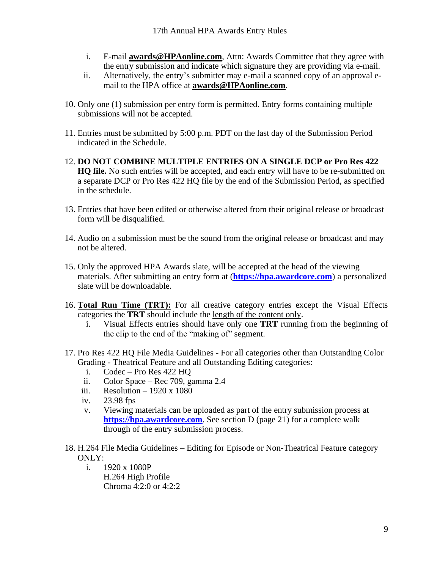- i. E-mail **[awards@HPAonline.com](mailto:info@hpaawards.net)**, Attn: Awards Committee that they agree with the entry submission and indicate which signature they are providing via e-mail.
- ii. Alternatively, the entry's submitter may e-mail a scanned copy of an approval email to the HPA office at **[awards@HPAonline.com](mailto:info@hpaawards.net)**.
- 10. Only one (1) submission per entry form is permitted. Entry forms containing multiple submissions will not be accepted.
- 11. Entries must be submitted by 5:00 p.m. PDT on the last day of the Submission Period indicated in the Schedule.
- 12. **DO NOT COMBINE MULTIPLE ENTRIES ON A SINGLE DCP or Pro Res 422 HQ file.** No such entries will be accepted, and each entry will have to be re-submitted on a separate DCP or Pro Res 422 HQ file by the end of the Submission Period, as specified in the schedule.
- 13. Entries that have been edited or otherwise altered from their original release or broadcast form will be disqualified.
- 14. Audio on a submission must be the sound from the original release or broadcast and may not be altered.
- 15. Only the approved HPA Awards slate, will be accepted at the head of the viewing materials. After submitting an entry form at (**[https://hpa.awardcore.com](https://hpa.awardcore.com/)**) a personalized slate will be downloadable.
- 16. **Total Run Time (TRT):** For all creative category entries except the Visual Effects categories the **TRT** should include the length of the content only.
	- i. Visual Effects entries should have only one **TRT** running from the beginning of the clip to the end of the "making of" segment.
- 17. Pro Res 422 HQ File Media Guidelines For all categories other than Outstanding Color Grading - Theatrical Feature and all Outstanding Editing categories:
	- i. Codec Pro Res 422 HQ
	- ii. Color Space Rec 709, gamma 2.4
	- iii. Resolution 1920 x 1080
	- iv. 23.98 fps
	- v. Viewing materials can be uploaded as part of the entry submission process at **[https://hpa.awardcore.com](https://hpa.awardcore.com/)**. See section D (page 21) for a complete walk through of the entry submission process.
- 18. H.264 File Media Guidelines Editing for Episode or Non-Theatrical Feature category ONLY:
	- i. 1920 x 1080P H.264 High Profile Chroma 4:2:0 or 4:2:2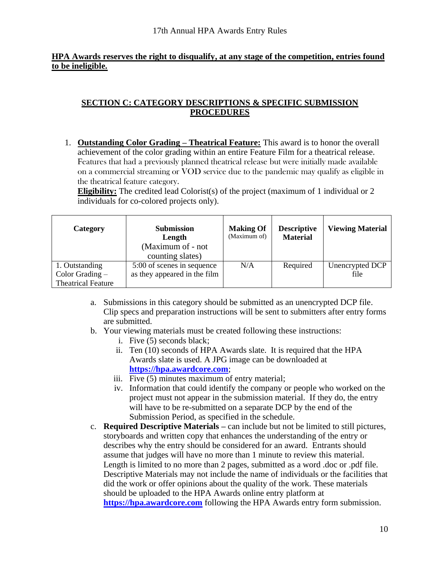#### **HPA Awards reserves the right to disqualify, at any stage of the competition, entries found to be ineligible.**

# <span id="page-9-0"></span>**SECTION C: CATEGORY DESCRIPTIONS & SPECIFIC SUBMISSION PROCEDURES**

<span id="page-9-1"></span>1. **Outstanding Color Grading – Theatrical Feature:** This award is to honor the overall achievement of the color grading within an entire Feature Film for a theatrical release. Features that had a previously planned theatrical release but were initially made available on a commercial streaming or VOD service due to the pandemic may qualify as eligible in the theatrical feature category.

**Eligibility:** The credited lead Colorist(s) of the project (maximum of 1 individual or 2 individuals for co-colored projects only).

| Category                                                         | <b>Submission</b><br>Length<br>(Maximum of - not<br>counting slates) | <b>Making Of</b><br>(Maximum of) | <b>Descriptive</b><br><b>Material</b> | <b>Viewing Material</b> |
|------------------------------------------------------------------|----------------------------------------------------------------------|----------------------------------|---------------------------------------|-------------------------|
| 1. Outstanding<br>Color Grading $-$<br><b>Theatrical Feature</b> | 5:00 of scenes in sequence<br>as they appeared in the film           | N/A                              | Required                              | Unencrypted DCP<br>file |

- a. Submissions in this category should be submitted as an unencrypted DCP file. Clip specs and preparation instructions will be sent to submitters after entry forms are submitted.
- b. Your viewing materials must be created following these instructions:
	- i. Five (5) seconds black;
	- ii. Ten (10) seconds of HPA Awards slate. It is required that the HPA Awards slate is used. A JPG image can be downloaded at **[https://hpa.awardcore.com](https://hpa.awardcore.com/)**;
	- iii. Five (5) minutes maximum of entry material;
	- iv. Information that could identify the company or people who worked on the project must not appear in the submission material. If they do, the entry will have to be re-submitted on a separate DCP by the end of the Submission Period, as specified in the schedule.
- c. **Required Descriptive Materials –** can include but not be limited to still pictures, storyboards and written copy that enhances the understanding of the entry or describes why the entry should be considered for an award. Entrants should assume that judges will have no more than 1 minute to review this material. Length is limited to no more than 2 pages, submitted as a word .doc or .pdf file. Descriptive Materials may not include the name of individuals or the facilities that did the work or offer opinions about the quality of the work. These materials should be uploaded to the HPA Awards online entry platform at **[https://hpa.awardcore.com](https://hpa.awardcore.com/)** following the HPA Awards entry form submission.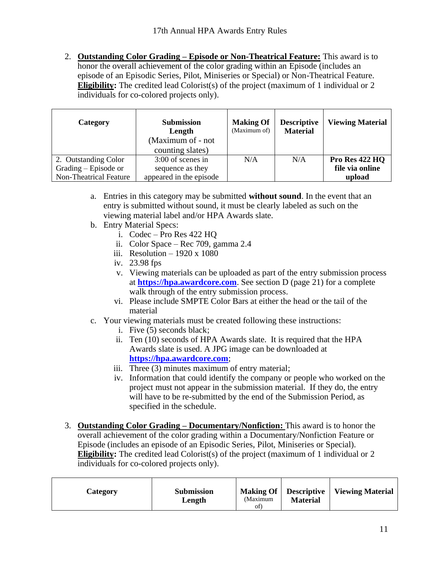<span id="page-10-0"></span>2. **Outstanding Color Grading – Episode or Non-Theatrical Feature:** This award is to honor the overall achievement of the color grading within an Episode (includes an episode of an Episodic Series, Pilot, Miniseries or Special) or Non-Theatrical Feature. **Eligibility:** The credited lead Colorist(s) of the project (maximum of 1 individual or 2 individuals for co-colored projects only).

| Category                                                                        | <b>Submission</b><br>Length<br>(Maximum of - not<br>counting slates) | <b>Making Of</b><br>(Maximum of) | <b>Descriptive</b><br><b>Material</b> | <b>Viewing Material</b>                     |
|---------------------------------------------------------------------------------|----------------------------------------------------------------------|----------------------------------|---------------------------------------|---------------------------------------------|
| 2. Outstanding Color<br>Grading $-$ Episode or<br><b>Non-Theatrical Feature</b> | 3:00 of scenes in<br>sequence as they<br>appeared in the episode     | N/A                              | N/A                                   | Pro Res 422 HQ<br>file via online<br>upload |

- a. Entries in this category may be submitted **without sound**. In the event that an entry is submitted without sound, it must be clearly labeled as such on the viewing material label and/or HPA Awards slate.
- b. Entry Material Specs:
	- i. Codec Pro Res 422 HQ
	- ii. Color Space Rec 709, gamma 2.4
	- iii. Resolution  $-1920 \times 1080$
	- iv. 23.98 fps
	- v. Viewing materials can be uploaded as part of the entry submission process at **[https://hpa.awardcore.com](https://hpa.awardcore.com/)**. See section D (page 21) for a complete walk through of the entry submission process.
	- vi. Please include SMPTE Color Bars at either the head or the tail of the material
- c. Your viewing materials must be created following these instructions:
	- i. Five (5) seconds black;
	- ii. Ten (10) seconds of HPA Awards slate. It is required that the HPA Awards slate is used. A JPG image can be downloaded at **[https://hpa.awardcore.com](https://hpa.awardcore.com/)**;
	- iii. Three (3) minutes maximum of entry material;
	- iv. Information that could identify the company or people who worked on the project must not appear in the submission material. If they do, the entry will have to be re-submitted by the end of the Submission Period, as specified in the schedule.
- <span id="page-10-1"></span>3. **Outstanding Color Grading – Documentary/Nonfiction:** This award is to honor the overall achievement of the color grading within a Documentary/Nonfiction Feature or Episode (includes an episode of an Episodic Series, Pilot, Miniseries or Special). **Eligibility:** The credited lead Colorist(s) of the project (maximum of 1 individual or 2 individuals for co-colored projects only).

| Category | <b>Submission</b><br>Length | Making Of<br>(Maximum<br>of | <b>Descriptive</b><br><b>Material</b> | <b>Viewing Material</b> |
|----------|-----------------------------|-----------------------------|---------------------------------------|-------------------------|
|----------|-----------------------------|-----------------------------|---------------------------------------|-------------------------|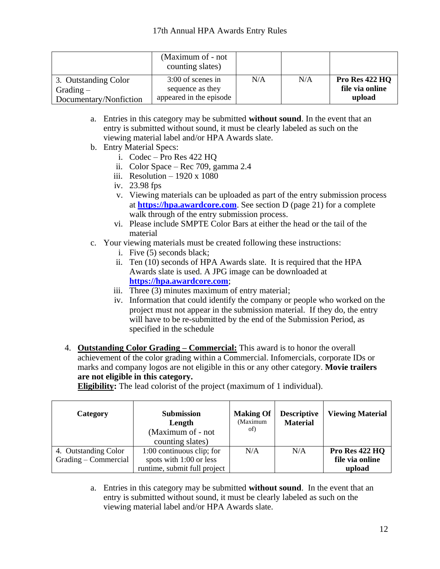|                        | (Maximum of - not)<br>counting slates) |     |     |                 |
|------------------------|----------------------------------------|-----|-----|-----------------|
| 3. Outstanding Color   | 3:00 of scenes in                      | N/A | N/A | Pro Res 422 HQ  |
| $Grading -$            | sequence as they                       |     |     | file via online |
| Documentary/Nonfiction | appeared in the episode                |     |     | upload          |

- a. Entries in this category may be submitted **without sound**. In the event that an entry is submitted without sound, it must be clearly labeled as such on the viewing material label and/or HPA Awards slate.
- b. Entry Material Specs:
	- i. Codec Pro Res 422 HQ
	- ii. Color Space Rec 709, gamma 2.4
	- iii. Resolution  $-1920 \times 1080$
	- iv. 23.98 fps
	- v. Viewing materials can be uploaded as part of the entry submission process at **[https://hpa.awardcore.com](https://hpa.awardcore.com/)**. See section D (page 21) for a complete walk through of the entry submission process.
	- vi. Please include SMPTE Color Bars at either the head or the tail of the material
- c. Your viewing materials must be created following these instructions:
	- i. Five (5) seconds black;
	- ii. Ten (10) seconds of HPA Awards slate. It is required that the HPA Awards slate is used. A JPG image can be downloaded at **[https://hpa.awardcore.com](https://hpa.awardcore.com/)**;
	- iii. Three (3) minutes maximum of entry material;
	- iv. Information that could identify the company or people who worked on the project must not appear in the submission material. If they do, the entry will have to be re-submitted by the end of the Submission Period, as specified in the schedule
- <span id="page-11-0"></span>4. **Outstanding Color Grading – Commercial:** This award is to honor the overall achievement of the color grading within a Commercial. Infomercials, corporate IDs or marks and company logos are not eligible in this or any other category. **Movie trailers are not eligible in this category.**

**Eligibility:** The lead colorist of the project (maximum of 1 individual).

| Category             | <b>Submission</b><br>Length<br>(Maximum of - not)<br>counting slates) | <b>Making Of</b><br>(Maximum<br>of) | <b>Descriptive</b><br><b>Material</b> | <b>Viewing Material</b> |
|----------------------|-----------------------------------------------------------------------|-------------------------------------|---------------------------------------|-------------------------|
| 4. Outstanding Color | $1:00$ continuous clip; for                                           | N/A                                 | N/A                                   | Pro Res 422 HQ          |
| Grading – Commercial | spots with 1:00 or less                                               |                                     |                                       | file via online         |
|                      | runtime, submit full project                                          |                                     |                                       | upload                  |

a. Entries in this category may be submitted **without sound**. In the event that an entry is submitted without sound, it must be clearly labeled as such on the viewing material label and/or HPA Awards slate.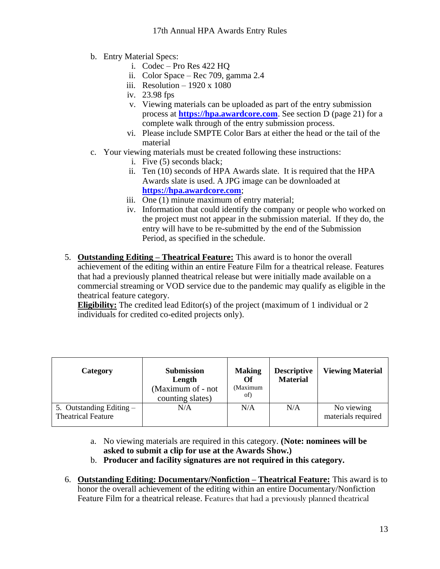- b. Entry Material Specs:
	- i. Codec Pro Res 422 HQ
	- ii. Color Space Rec 709, gamma 2.4
	- iii. Resolution  $-1920 \times 1080$
	- iv. 23.98 fps
	- v. Viewing materials can be uploaded as part of the entry submission process at **[https://hpa.awardcore.com](https://hpa.awardcore.com/)**. See section D (page 21) for a complete walk through of the entry submission process.
	- vi. Please include SMPTE Color Bars at either the head or the tail of the material
- c. Your viewing materials must be created following these instructions:
	- i. Five (5) seconds black;
	- ii. Ten (10) seconds of HPA Awards slate. It is required that the HPA Awards slate is used. A JPG image can be downloaded at **[https://hpa.awardcore.com](https://hpa.awardcore.com/)**;
	- iii. One (1) minute maximum of entry material;
	- iv. Information that could identify the company or people who worked on the project must not appear in the submission material. If they do, the entry will have to be re-submitted by the end of the Submission Period, as specified in the schedule.
- <span id="page-12-0"></span>5. **Outstanding Editing – Theatrical Feature:** This award is to honor the overall achievement of the editing within an entire Feature Film for a theatrical release. Features that had a previously planned theatrical release but were initially made available on a commercial streaming or VOD service due to the pandemic may qualify as eligible in the theatrical feature category.

**Eligibility:** The credited lead Editor(s) of the project (maximum of 1 individual or 2 individuals for credited co-edited projects only).

| Category                                                | <b>Submission</b><br>Length<br>(Maximum of - not<br>counting slates) | <b>Making</b><br>Of<br>(Maximum<br>of) | <b>Descriptive</b><br><b>Material</b> | <b>Viewing Material</b>          |
|---------------------------------------------------------|----------------------------------------------------------------------|----------------------------------------|---------------------------------------|----------------------------------|
| 5. Outstanding Editing $-$<br><b>Theatrical Feature</b> | N/A                                                                  | N/A                                    | N/A                                   | No viewing<br>materials required |

- a. No viewing materials are required in this category. **(Note: nominees will be asked to submit a clip for use at the Awards Show.)**
- b. **Producer and facility signatures are not required in this category.**
- <span id="page-12-1"></span>6. **Outstanding Editing: Documentary/Nonfiction – Theatrical Feature:** This award is to honor the overall achievement of the editing within an entire Documentary/Nonfiction Feature Film for a theatrical release. Features that had a previously planned theatrical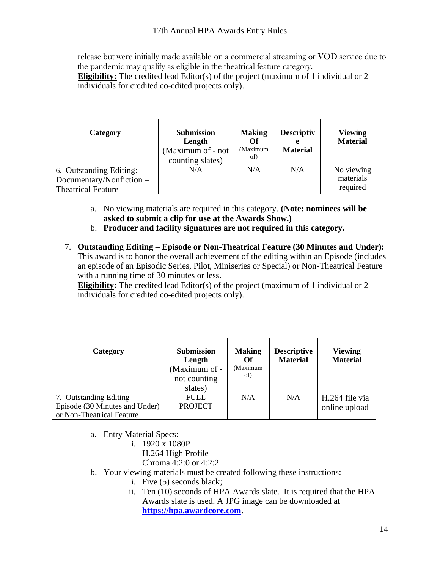release but were initially made available on a commercial streaming or VOD service due to the pandemic may qualify as eligible in the theatrical feature category.

**Eligibility:** The credited lead Editor(s) of the project (maximum of 1 individual or 2 individuals for credited co-edited projects only).

| Category                                                                         | <b>Submission</b><br>Length<br>(Maximum of - not<br>counting slates) | <b>Making</b><br>Of<br>(Maximum<br>of) | <b>Descriptiv</b><br><b>Material</b> | <b>Viewing</b><br><b>Material</b>   |
|----------------------------------------------------------------------------------|----------------------------------------------------------------------|----------------------------------------|--------------------------------------|-------------------------------------|
| 6. Outstanding Editing:<br>Documentary/Nonfiction -<br><b>Theatrical Feature</b> | N/A                                                                  | N/A                                    | N/A                                  | No viewing<br>materials<br>required |

- a. No viewing materials are required in this category. **(Note: nominees will be asked to submit a clip for use at the Awards Show.)**
- b. **Producer and facility signatures are not required in this category.**
- <span id="page-13-0"></span>7. **Outstanding Editing – Episode or Non-Theatrical Feature (30 Minutes and Under):** This award is to honor the overall achievement of the editing within an Episode (includes an episode of an Episodic Series, Pilot, Miniseries or Special) or Non-Theatrical Feature with a running time of 30 minutes or less.

**Eligibility:** The credited lead Editor(s) of the project (maximum of 1 individual or 2 individuals for credited co-edited projects only).

| Category                                                     | <b>Submission</b><br>Length<br>(Maximum of -<br>not counting<br>slates) | <b>Making</b><br>Оf<br>(Maximum<br>of) | <b>Descriptive</b><br><b>Material</b> | <b>Viewing</b><br><b>Material</b> |
|--------------------------------------------------------------|-------------------------------------------------------------------------|----------------------------------------|---------------------------------------|-----------------------------------|
| 7. Outstanding Editing $-$<br>Episode (30 Minutes and Under) | <b>FULL</b><br><b>PROJECT</b>                                           | N/A                                    | N/A                                   | H.264 file via<br>online upload   |
| or Non-Theatrical Feature                                    |                                                                         |                                        |                                       |                                   |

- a. Entry Material Specs:
	- i. 1920 x 1080P
		- H.264 High Profile
		- Chroma 4:2:0 or 4:2:2
- b. Your viewing materials must be created following these instructions:
	- i. Five (5) seconds black;
		- ii. Ten (10) seconds of HPA Awards slate. It is required that the HPA Awards slate is used. A JPG image can be downloaded at **[https://hpa.awardcore.com](https://hpa.awardcore.com/)**.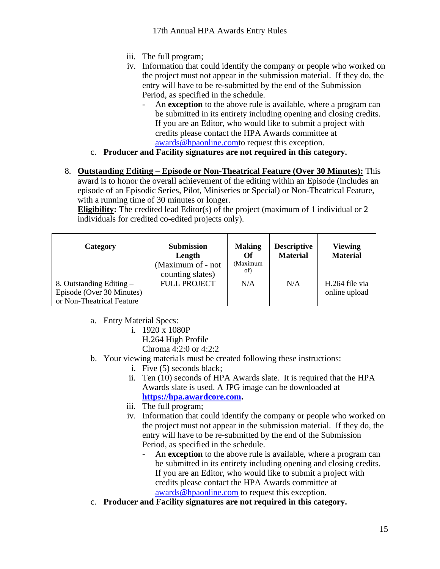- iii. The full program;
- iv. Information that could identify the company or people who worked on the project must not appear in the submission material. If they do, the entry will have to be re-submitted by the end of the Submission Period, as specified in the schedule.
	- An **exception** to the above rule is available, where a program can be submitted in its entirety including opening and closing credits. If you are an Editor, who would like to submit a project with credits please contact the HPA Awards committee at [awards@hpaonline.comt](mailto:awards@hpaonline.com)o request this exception.
- c. **Producer and Facility signatures are not required in this category.**
- <span id="page-14-0"></span>8. **Outstanding Editing – Episode or Non-Theatrical Feature (Over 30 Minutes):** This award is to honor the overall achievement of the editing within an Episode (includes an episode of an Episodic Series, Pilot, Miniseries or Special) or Non-Theatrical Feature, with a running time of 30 minutes or longer.

**Eligibility:** The credited lead Editor(s) of the project (maximum of 1 individual or 2 individuals for credited co-edited projects only).

| Category                                              | <b>Submission</b><br>Length<br>(Maximum of - not<br>counting slates) | <b>Making</b><br>Оf<br>(Maximum<br>of) | <b>Descriptive</b><br><b>Material</b> | <b>Viewing</b><br><b>Material</b> |
|-------------------------------------------------------|----------------------------------------------------------------------|----------------------------------------|---------------------------------------|-----------------------------------|
| 8. Outstanding Editing –<br>Episode (Over 30 Minutes) | <b>FULL PROJECT</b>                                                  | N/A                                    | N/A                                   | H.264 file via<br>online upload   |
| or Non-Theatrical Feature                             |                                                                      |                                        |                                       |                                   |

a. Entry Material Specs:

- i. 1920 x 1080P
	- H.264 High Profile

Chroma 4:2:0 or 4:2:2

- b. Your viewing materials must be created following these instructions:
	- i. Five (5) seconds black;
	- ii. Ten (10) seconds of HPA Awards slate. It is required that the HPA Awards slate is used. A JPG image can be downloaded at **[https://hpa.awardcore.com.](https://hpa.awardcore.com/)**
	- iii. The full program;
	- iv. Information that could identify the company or people who worked on the project must not appear in the submission material. If they do, the entry will have to be re-submitted by the end of the Submission Period, as specified in the schedule.
		- An **exception** to the above rule is available, where a program can be submitted in its entirety including opening and closing credits. If you are an Editor, who would like to submit a project with credits please contact the HPA Awards committee at [awards@hpaonline.com](mailto:awards@hpaonline.com) to request this exception.
- c. **Producer and Facility signatures are not required in this category.**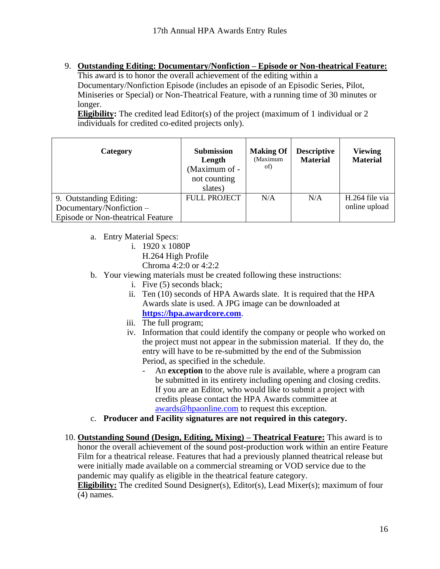<span id="page-15-0"></span>9. **Outstanding Editing: Documentary/Nonfiction – Episode or Non-theatrical Feature:**

This award is to honor the overall achievement of the editing within a Documentary/Nonfiction Episode (includes an episode of an Episodic Series, Pilot, Miniseries or Special) or Non-Theatrical Feature, with a running time of 30 minutes or longer.

**Eligibility:** The credited lead Editor(s) of the project (maximum of 1 individual or 2 individuals for credited co-edited projects only).

| Category                                                                                 | <b>Submission</b><br>Length<br>(Maximum of -<br>not counting<br>slates) | <b>Making Of</b><br>(Maximum<br>of) | <b>Descriptive</b><br><b>Material</b> | <b>Viewing</b><br><b>Material</b> |
|------------------------------------------------------------------------------------------|-------------------------------------------------------------------------|-------------------------------------|---------------------------------------|-----------------------------------|
| 9. Outstanding Editing:<br>Documentary/Nonfiction -<br>Episode or Non-theatrical Feature | <b>FULL PROJECT</b>                                                     | N/A                                 | N/A                                   | H.264 file via<br>online upload   |

- a. Entry Material Specs:
	- i. 1920 x 1080P
		- H.264 High Profile
		- Chroma 4:2:0 or 4:2:2
- b. Your viewing materials must be created following these instructions:
	- i. Five (5) seconds black;
	- ii. Ten (10) seconds of HPA Awards slate. It is required that the HPA Awards slate is used. A JPG image can be downloaded at **[https://hpa.awardcore.com](https://hpa.awardcore.com/)**.
	- iii. The full program;
	- iv. Information that could identify the company or people who worked on the project must not appear in the submission material. If they do, the entry will have to be re-submitted by the end of the Submission Period, as specified in the schedule.
		- An **exception** to the above rule is available, where a program can be submitted in its entirety including opening and closing credits. If you are an Editor, who would like to submit a project with credits please contact the HPA Awards committee at [awards@hpaonline.com](mailto:awards@hpaonline.com) to request this exception.
- c. **Producer and Facility signatures are not required in this category.**
- <span id="page-15-1"></span>10. **Outstanding Sound (Design, Editing, Mixing) – Theatrical Feature:** This award is to honor the overall achievement of the sound post-production work within an entire Feature Film for a theatrical release. Features that had a previously planned theatrical release but were initially made available on a commercial streaming or VOD service due to the pandemic may qualify as eligible in the theatrical feature category.

**Eligibility:** The credited Sound Designer(s), Editor(s), Lead Mixer(s); maximum of four (4) names.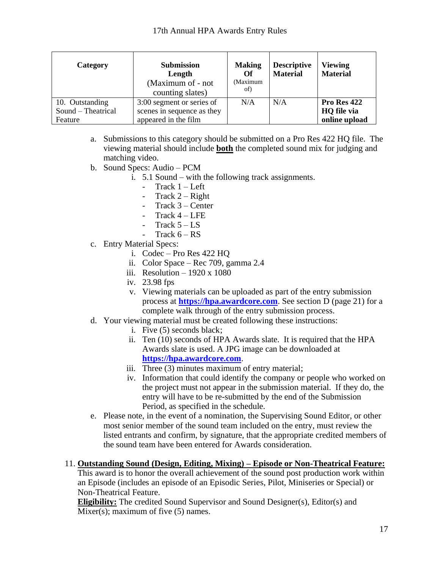| Category                              | <b>Submission</b><br>Length<br>(Maximum of - not)<br>counting slates) | <b>Making</b><br>Of<br>(Maximum<br>of) | <b>Descriptive</b><br><b>Material</b> | <b>Viewing</b><br><b>Material</b> |
|---------------------------------------|-----------------------------------------------------------------------|----------------------------------------|---------------------------------------|-----------------------------------|
| 10. Outstanding<br>Sound – Theatrical | 3:00 segment or series of<br>scenes in sequence as they               | N/A                                    | N/A                                   | Pro Res 422<br>HQ file via        |
| Feature                               | appeared in the film                                                  |                                        |                                       | online upload                     |

- a. Submissions to this category should be submitted on a Pro Res 422 HQ file. The viewing material should include **both** the completed sound mix for judging and matching video.
- b. Sound Specs: Audio PCM
	- i. 5.1 Sound with the following track assignments.
		- Track 1 Left
			- Track  $2 -$  Right
			- Track 3 Center
			- Track  $4 LFE$
			- Track  $5 LS$
			- Track  $6 RS$
- c. Entry Material Specs:
	- i. Codec Pro Res 422 HQ
	- ii. Color Space Rec 709, gamma 2.4
	- iii. Resolution  $-1920 \times 1080$
	- iv. 23.98 fps
	- v. Viewing materials can be uploaded as part of the entry submission process at **[https://hpa.awardcore.com](https://hpa.awardcore.com/)**. See section D (page 21) for a complete walk through of the entry submission process.
- d. Your viewing material must be created following these instructions:
	- i. Five (5) seconds black;
	- ii. Ten (10) seconds of HPA Awards slate. It is required that the HPA Awards slate is used. A JPG image can be downloaded at **[https://hpa.awardcore.com](https://hpa.awardcore.com/)**.
	- iii. Three (3) minutes maximum of entry material;
	- iv. Information that could identify the company or people who worked on the project must not appear in the submission material. If they do, the entry will have to be re-submitted by the end of the Submission Period, as specified in the schedule.
- e. Please note, in the event of a nomination, the Supervising Sound Editor, or other most senior member of the sound team included on the entry, must review the listed entrants and confirm, by signature, that the appropriate credited members of the sound team have been entered for Awards consideration.
- <span id="page-16-0"></span>11. **Outstanding Sound (Design, Editing, Mixing) – Episode or Non-Theatrical Feature:**

This award is to honor the overall achievement of the sound post production work within an Episode (includes an episode of an Episodic Series, Pilot, Miniseries or Special) or Non-Theatrical Feature.

**Eligibility:** The credited Sound Supervisor and Sound Designer(s), Editor(s) and Mixer(s); maximum of five  $(5)$  names.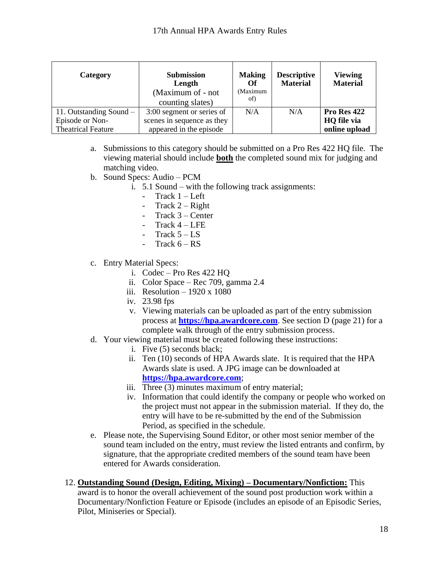| Category                  | <b>Submission</b><br>Length<br>(Maximum of - not<br>counting slates) | <b>Making</b><br>Of<br>(Maximum<br>of) | <b>Descriptive</b><br><b>Material</b> | <b>Viewing</b><br><b>Material</b> |
|---------------------------|----------------------------------------------------------------------|----------------------------------------|---------------------------------------|-----------------------------------|
| 11. Outstanding Sound $-$ | 3:00 segment or series of                                            | N/A                                    | N/A                                   | Pro Res 422                       |
| Episode or Non-           | scenes in sequence as they                                           |                                        |                                       | HQ file via                       |
| <b>Theatrical Feature</b> | appeared in the episode                                              |                                        |                                       | online upload                     |

- a. Submissions to this category should be submitted on a Pro Res 422 HQ file. The viewing material should include **both** the completed sound mix for judging and matching video.
- b. Sound Specs: Audio PCM
	- i. 5.1 Sound with the following track assignments:
		- Track  $1 Left$
		- Track  $2 Right$
		- $Track 3 Center$
		- Track 4 LFE
		- Track  $5 LS$
		- Track  $6 RS$
- c. Entry Material Specs:
	- i. Codec Pro Res 422 HQ
	- ii. Color Space Rec 709, gamma 2.4
	- iii. Resolution  $-1920 \times 1080$
	- iv. 23.98 fps
	- v. Viewing materials can be uploaded as part of the entry submission process at **[https://hpa.awardcore.com](https://hpa.awardcore.com/)**. See section D (page 21) for a complete walk through of the entry submission process.
- d. Your viewing material must be created following these instructions:
	- i. Five (5) seconds black;
	- ii. Ten (10) seconds of HPA Awards slate. It is required that the HPA Awards slate is used. A JPG image can be downloaded at **[https://hpa.awardcore.com](https://hpa.awardcore.com/)**;
	- iii. Three (3) minutes maximum of entry material;
	- iv. Information that could identify the company or people who worked on the project must not appear in the submission material. If they do, the entry will have to be re-submitted by the end of the Submission Period, as specified in the schedule.
- e. Please note, the Supervising Sound Editor, or other most senior member of the sound team included on the entry, must review the listed entrants and confirm, by signature, that the appropriate credited members of the sound team have been entered for Awards consideration.
- <span id="page-17-0"></span>12. **Outstanding Sound (Design, Editing, Mixing) – Documentary/Nonfiction:** This award is to honor the overall achievement of the sound post production work within a Documentary/Nonfiction Feature or Episode (includes an episode of an Episodic Series, Pilot, Miniseries or Special).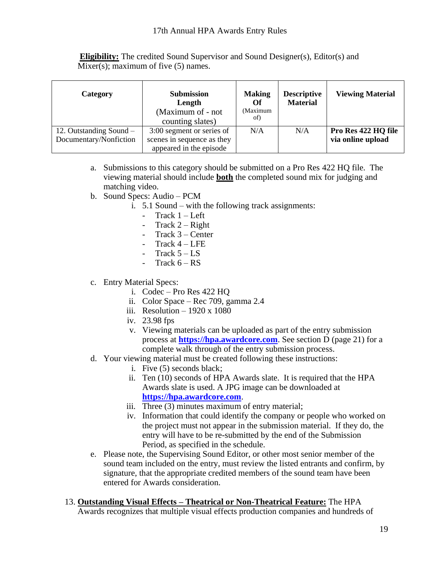**Eligibility:** The credited Sound Supervisor and Sound Designer(s), Editor(s) and Mixer(s); maximum of five  $(5)$  names.

| <b>Category</b>                                     | <b>Submission</b><br>Length<br>(Maximum of - not)<br>counting slates)              | <b>Making</b><br>Оf<br>(Maximum<br>of) | <b>Descriptive</b><br><b>Material</b> | <b>Viewing Material</b>                  |
|-----------------------------------------------------|------------------------------------------------------------------------------------|----------------------------------------|---------------------------------------|------------------------------------------|
| 12. Outstanding Sound $-$<br>Documentary/Nonfiction | 3:00 segment or series of<br>scenes in sequence as they<br>appeared in the episode | N/A                                    | N/A                                   | Pro Res 422 HQ file<br>via online upload |

- a. Submissions to this category should be submitted on a Pro Res 422 HQ file. The viewing material should include **both** the completed sound mix for judging and matching video.
- b. Sound Specs: Audio PCM
	- i. 5.1 Sound with the following track assignments:
		- Track  $1 Left$
		- Track  $2 -$  Right
		- Track 3 Center
		- Track  $4 LFE$
		- Track  $5 LS$
		- Track  $6 RS$
- c. Entry Material Specs:
	- i. Codec Pro Res 422 HQ
	- ii. Color Space Rec 709, gamma 2.4
	- iii. Resolution 1920 x 1080
	- iv. 23.98 fps
	- v. Viewing materials can be uploaded as part of the entry submission process at **[https://hpa.awardcore.com](https://hpa.awardcore.com/)**. See section D (page 21) for a complete walk through of the entry submission process.
- d. Your viewing material must be created following these instructions:
	- i. Five (5) seconds black;
	- ii. Ten (10) seconds of HPA Awards slate. It is required that the HPA Awards slate is used. A JPG image can be downloaded at **[https://hpa.awardcore.com](https://hpa.awardcore.com/)**.
	- iii. Three (3) minutes maximum of entry material;
	- iv. Information that could identify the company or people who worked on the project must not appear in the submission material. If they do, the entry will have to be re-submitted by the end of the Submission Period, as specified in the schedule.
- e. Please note, the Supervising Sound Editor, or other most senior member of the sound team included on the entry, must review the listed entrants and confirm, by signature, that the appropriate credited members of the sound team have been entered for Awards consideration.
- <span id="page-18-0"></span>13. **Outstanding Visual Effects – Theatrical or Non-Theatrical Feature:** The HPA Awards recognizes that multiple visual effects production companies and hundreds of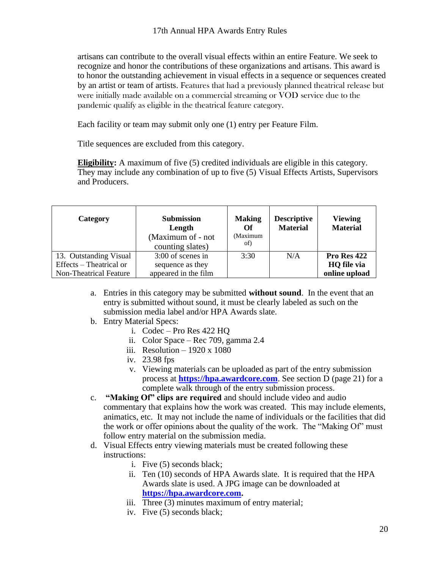artisans can contribute to the overall visual effects within an entire Feature. We seek to recognize and honor the contributions of these organizations and artisans. This award is to honor the outstanding achievement in visual effects in a sequence or sequences created by an artist or team of artists. Features that had a previously planned theatrical release but were initially made available on a commercial streaming or VOD service due to the pandemic qualify as eligible in the theatrical feature category.

Each facility or team may submit only one (1) entry per Feature Film.

Title sequences are excluded from this category.

**Eligibility:** A maximum of five (5) credited individuals are eligible in this category. They may include any combination of up to five (5) Visual Effects Artists, Supervisors and Producers.

| Category                                                                           | <b>Submission</b><br>Length<br>(Maximum of - not<br>counting slates) | <b>Making</b><br>Of<br>(Maximum<br>of) | <b>Descriptive</b><br><b>Material</b> | <b>Viewing</b><br><b>Material</b>           |
|------------------------------------------------------------------------------------|----------------------------------------------------------------------|----------------------------------------|---------------------------------------|---------------------------------------------|
| 13. Outstanding Visual<br>Effects – Theatrical or<br><b>Non-Theatrical Feature</b> | 3:00 of scenes in<br>sequence as they<br>appeared in the film        | 3:30                                   | N/A                                   | Pro Res 422<br>HQ file via<br>online upload |

- a. Entries in this category may be submitted **without sound**. In the event that an entry is submitted without sound, it must be clearly labeled as such on the submission media label and/or HPA Awards slate.
- b. Entry Material Specs:
	- i. Codec Pro Res 422 HQ
	- ii. Color Space Rec 709, gamma 2.4
	- iii. Resolution  $-1920 \times 1080$
	- iv. 23.98 fps
	- v. Viewing materials can be uploaded as part of the entry submission process at **[https://hpa.awardcore.com](https://hpa.awardcore.com/)**. See section D (page 21) for a complete walk through of the entry submission process.
- c. **"Making Of" clips are required** and should include video and audio commentary that explains how the work was created. This may include elements, animatics, etc. It may not include the name of individuals or the facilities that did the work or offer opinions about the quality of the work. The "Making Of" must follow entry material on the submission media.
- d. Visual Effects entry viewing materials must be created following these instructions:
	- i. Five (5) seconds black;
	- ii. Ten (10) seconds of HPA Awards slate. It is required that the HPA Awards slate is used. A JPG image can be downloaded at **[https://hpa.awardcore.com.](https://hpa.awardcore.com/)**
	- iii. Three (3) minutes maximum of entry material;
	- iv. Five (5) seconds black;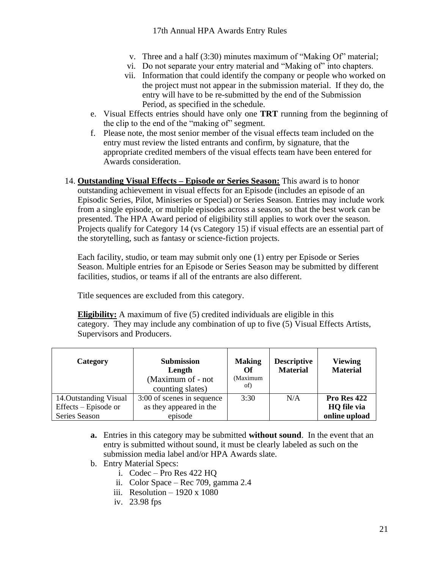- v. Three and a half (3:30) minutes maximum of "Making Of" material;
- vi. Do not separate your entry material and "Making of" into chapters.
- vii. Information that could identify the company or people who worked on the project must not appear in the submission material. If they do, the entry will have to be re-submitted by the end of the Submission Period, as specified in the schedule.
- e. Visual Effects entries should have only one **TRT** running from the beginning of the clip to the end of the "making of" segment.
- f. Please note, the most senior member of the visual effects team included on the entry must review the listed entrants and confirm, by signature, that the appropriate credited members of the visual effects team have been entered for Awards consideration.
- <span id="page-20-0"></span>14. **Outstanding Visual Effects – Episode or Series Season:** This award is to honor outstanding achievement in visual effects for an Episode (includes an episode of an Episodic Series, Pilot, Miniseries or Special) or Series Season. Entries may include work from a single episode, or multiple episodes across a season, so that the best work can be presented. The HPA Award period of eligibility still applies to work over the season. Projects qualify for Category 14 (vs Category 15) if visual effects are an essential part of the storytelling, such as fantasy or science-fiction projects.

Each facility, studio, or team may submit only one (1) entry per Episode or Series Season. Multiple entries for an Episode or Series Season may be submitted by different facilities, studios, or teams if all of the entrants are also different.

Title sequences are excluded from this category.

**Eligibility:** A maximum of five (5) credited individuals are eligible in this category. They may include any combination of up to five (5) Visual Effects Artists, Supervisors and Producers.

| Category                                                        | <b>Submission</b><br>Length<br>(Maximum of - not<br>counting slates) | <b>Making</b><br>Of<br>(Maximum<br>of) | <b>Descriptive</b><br><b>Material</b> | <b>Viewing</b><br><b>Material</b>           |
|-----------------------------------------------------------------|----------------------------------------------------------------------|----------------------------------------|---------------------------------------|---------------------------------------------|
| 14. Outstanding Visual<br>Effects – Episode or<br>Series Season | 3:00 of scenes in sequence<br>as they appeared in the<br>episode     | 3:30                                   | N/A                                   | Pro Res 422<br>HQ file via<br>online upload |

- **a.** Entries in this category may be submitted **without sound**. In the event that an entry is submitted without sound, it must be clearly labeled as such on the submission media label and/or HPA Awards slate.
- b. Entry Material Specs:
	- i. Codec Pro Res 422 HQ
	- ii. Color Space Rec 709, gamma 2.4
	- iii. Resolution 1920 x 1080
	- iv. 23.98 fps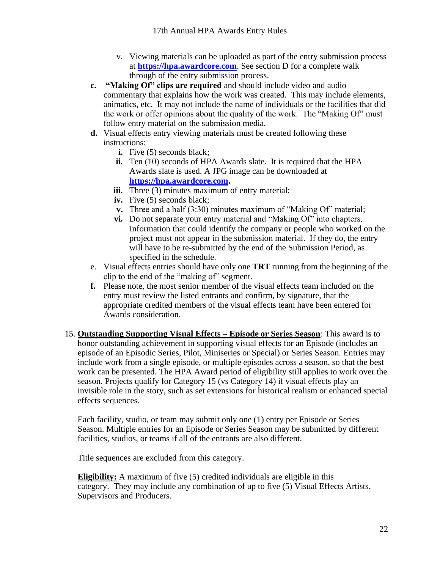- v. Viewing materials can be uploaded as part of the entry submission process at **[https://hpa.awardcore.com](https://hpa.awardcore.com/)**. See section D for a complete walk through of the entry submission process.
- **c. "Making Of" clips are required** and should include video and audio commentary that explains how the work was created. This may include elements, animatics, etc. It may not include the name of individuals or the facilities that did the work or offer opinions about the quality of the work. The "Making Of" must follow entry material on the submission media.
- **d.** Visual effects entry viewing materials must be created following these instructions:
	- **i.** Five (5) seconds black:
	- **ii.** Ten (10) seconds of HPA Awards slate. It is required that the HPA Awards slate is used. A JPG image can be downloaded at **[https://hpa.awardcore.com.](https://hpa.awardcore.com/)**
	- **iii.** Three (3) minutes maximum of entry material;
	- iv. Five (5) seconds black;
	- **v.** Three and a half (3:30) minutes maximum of "Making Of" material;
	- **vi.** Do not separate your entry material and "Making Of" into chapters. Information that could identify the company or people who worked on the project must not appear in the submission material. If they do, the entry will have to be re-submitted by the end of the Submission Period, as specified in the schedule.
- e. Visual effects entries should have only one **TRT** running from the beginning of the clip to the end of the "making of" segment.
- **f.** Please note, the most senior member of the visual effects team included on the entry must review the listed entrants and confirm, by signature, that the appropriate credited members of the visual effects team have been entered for Awards consideration.
- <span id="page-21-0"></span>15. **Outstanding Supporting Visual Effects – Episode or Series Season**: This award is to honor outstanding achievement in supporting visual effects for an Episode (includes an episode of an Episodic Series, Pilot, Miniseries or Special) or Series Season. Entries may include work from a single episode, or multiple episodes across a season, so that the best work can be presented. The HPA Award period of eligibility still applies to work over the season. Projects qualify for Category 15 (vs Category 14) if visual effects play an invisible role in the story, such as set extensions for historical realism or enhanced special effects sequences.

Each facility, studio, or team may submit only one (1) entry per Episode or Series Season. Multiple entries for an Episode or Series Season may be submitted by different facilities, studios, or teams if all of the entrants are also different.

Title sequences are excluded from this category.

**Eligibility:** A maximum of five (5) credited individuals are eligible in this category. They may include any combination of up to five (5) Visual Effects Artists, Supervisors and Producers.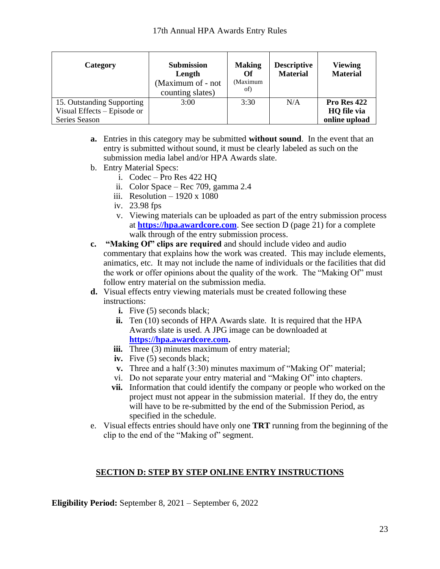| Category                                                  | <b>Submission</b><br>Length<br>(Maximum of - not<br>counting slates) | <b>Making</b><br>Оf<br>(Maximum<br>of) | <b>Descriptive</b><br><b>Material</b> | <b>Viewing</b><br><b>Material</b> |
|-----------------------------------------------------------|----------------------------------------------------------------------|----------------------------------------|---------------------------------------|-----------------------------------|
| 15. Outstanding Supporting<br>Visual Effects – Episode or | 3:00                                                                 | 3:30                                   | N/A                                   | Pro Res 422<br>HQ file via        |
| Series Season                                             |                                                                      |                                        |                                       | online upload                     |

- **a.** Entries in this category may be submitted **without sound**. In the event that an entry is submitted without sound, it must be clearly labeled as such on the submission media label and/or HPA Awards slate.
- b. Entry Material Specs:
	- i. Codec Pro Res 422 HQ
	- ii. Color Space Rec 709, gamma 2.4
	- iii. Resolution  $-1920 \times 1080$
	- iv. 23.98 fps
	- v. Viewing materials can be uploaded as part of the entry submission process at **[https://hpa.awardcore.com](https://hpa.awardcore.com/)**. See section D (page 21) for a complete walk through of the entry submission process.
- **c. "Making Of" clips are required** and should include video and audio commentary that explains how the work was created. This may include elements, animatics, etc. It may not include the name of individuals or the facilities that did the work or offer opinions about the quality of the work. The "Making Of" must follow entry material on the submission media.
- **d.** Visual effects entry viewing materials must be created following these instructions:
	- **i.** Five (5) seconds black;
	- **ii.** Ten (10) seconds of HPA Awards slate. It is required that the HPA Awards slate is used. A JPG image can be downloaded at **[https://hpa.awardcore.com.](https://hpa.awardcore.com/)**
	- **iii.** Three (3) minutes maximum of entry material;
	- iv. Five (5) seconds black;
	- **v.** Three and a half (3:30) minutes maximum of "Making Of" material;
	- vi. Do not separate your entry material and "Making Of" into chapters.
	- **vii.** Information that could identify the company or people who worked on the project must not appear in the submission material. If they do, the entry will have to be re-submitted by the end of the Submission Period, as specified in the schedule.
- e. Visual effects entries should have only one **TRT** running from the beginning of the clip to the end of the "Making of" segment.

#### **SECTION D: STEP BY STEP ONLINE ENTRY INSTRUCTIONS**

<span id="page-22-0"></span>**Eligibility Period:** September 8, 2021 – September 6, 2022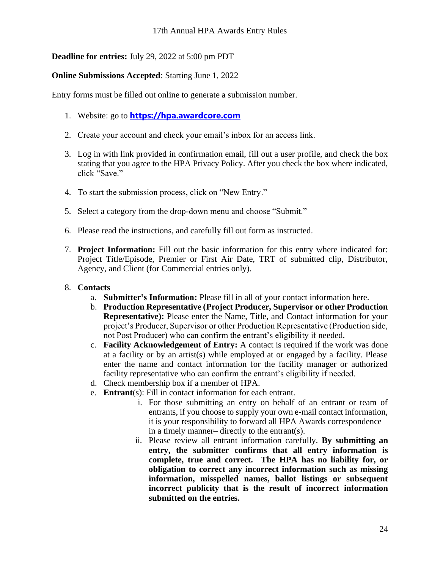# **Deadline for entries:** July 29, 2022 at 5:00 pm PDT

#### **Online Submissions Accepted**: Starting June 1, 2022

Entry forms must be filled out online to generate a submission number.

- 1. Website: go to **[https://hpa.awardcore.com](https://hpa.awardcore.com/)**
- 2. Create your account and check your email's inbox for an access link.
- 3. Log in with link provided in confirmation email, fill out a user profile, and check the box stating that you agree to the HPA Privacy Policy. After you check the box where indicated, click "Save."
- 4. To start the submission process, click on "New Entry."
- 5. Select a category from the drop-down menu and choose "Submit."
- 6. Please read the instructions, and carefully fill out form as instructed.
- 7. **Project Information:** Fill out the basic information for this entry where indicated for: Project Title/Episode, Premier or First Air Date, TRT of submitted clip, Distributor, Agency, and Client (for Commercial entries only).

#### 8. **Contacts**

- a. **Submitter's Information:** Please fill in all of your contact information here.
- b. **Production Representative (Project Producer, Supervisor or other Production Representative):** Please enter the Name, Title, and Contact information for your project's Producer, Supervisor or other Production Representative (Production side, not Post Producer) who can confirm the entrant's eligibility if needed.
- c. **Facility Acknowledgement of Entry:** A contact is required if the work was done at a facility or by an artist(s) while employed at or engaged by a facility. Please enter the name and contact information for the facility manager or authorized facility representative who can confirm the entrant's eligibility if needed.
- d. Check membership box if a member of HPA.
- e. **Entrant**(s): Fill in contact information for each entrant.
	- i. For those submitting an entry on behalf of an entrant or team of entrants, if you choose to supply your own e-mail contact information, it is your responsibility to forward all HPA Awards correspondence – in a timely manner– directly to the entrant(s).
	- ii. Please review all entrant information carefully. **By submitting an entry, the submitter confirms that all entry information is complete, true and correct. The HPA has no liability for, or obligation to correct any incorrect information such as missing information, misspelled names, ballot listings or subsequent incorrect publicity that is the result of incorrect information submitted on the entries.**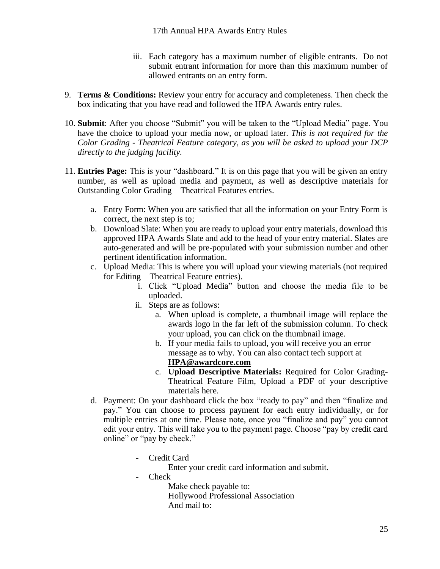- iii. Each category has a maximum number of eligible entrants. Do not submit entrant information for more than this maximum number of allowed entrants on an entry form.
- 9. **Terms & Conditions:** Review your entry for accuracy and completeness. Then check the box indicating that you have read and followed the HPA Awards entry rules.
- 10. **Submit**: After you choose "Submit" you will be taken to the "Upload Media" page. You have the choice to upload your media now, or upload later. *This is not required for the Color Grading - Theatrical Feature category, as you will be asked to upload your DCP directly to the judging facility.*
- 11. **Entries Page:** This is your "dashboard." It is on this page that you will be given an entry number, as well as upload media and payment, as well as descriptive materials for Outstanding Color Grading – Theatrical Features entries.
	- a. Entry Form: When you are satisfied that all the information on your Entry Form is correct, the next step is to;
	- b. Download Slate: When you are ready to upload your entry materials, download this approved HPA Awards Slate and add to the head of your entry material. Slates are auto-generated and will be pre-populated with your submission number and other pertinent identification information.
	- c. Upload Media: This is where you will upload your viewing materials (not required for Editing – Theatrical Feature entries).
		- i. Click "Upload Media" button and choose the media file to be uploaded.
		- ii. Steps are as follows:
			- a. When upload is complete, a thumbnail image will replace the awards logo in the far left of the submission column. To check your upload, you can click on the thumbnail image.
			- b. If your media fails to upload, you will receive you an error message as to why. You can also contact tech support at **[HPA@awardcore.com](mailto:hpa@awardcore.com)**
			- c. **Upload Descriptive Materials:** Required for Color Grading-Theatrical Feature Film, Upload a PDF of your descriptive materials here.
	- d. Payment: On your dashboard click the box "ready to pay" and then "finalize and pay." You can choose to process payment for each entry individually, or for multiple entries at one time. Please note, once you "finalize and pay" you cannot edit your entry. This will take you to the payment page. Choose "pay by credit card online" or "pay by check."
		- Credit Card

Enter your credit card information and submit.

- Check

Make check payable to: Hollywood Professional Association And mail to: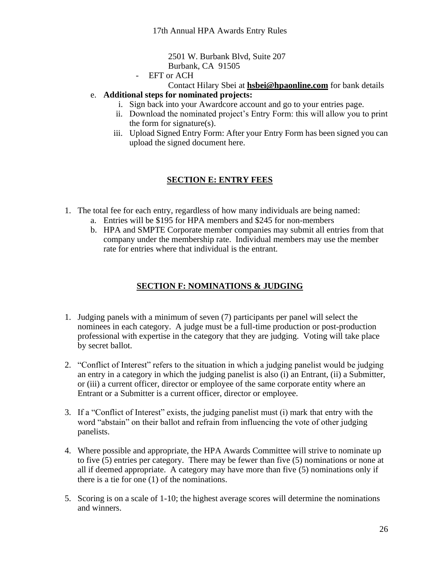2501 W. Burbank Blvd, Suite 207 Burbank, CA 91505

- EFT or ACH

Contact Hilary Sbei at **[hsbei@hpaonline.com](mailto:hsbei@hpaonline.com)** for bank details e. **Additional steps for nominated projects:**

- i. Sign back into your Awardcore account and go to your entries page.
- ii. Download the nominated project's Entry Form: this will allow you to print the form for signature(s).
- iii. Upload Signed Entry Form: After your Entry Form has been signed you can upload the signed document here.

# **SECTION E: ENTRY FEES**

- <span id="page-25-0"></span>1. The total fee for each entry, regardless of how many individuals are being named:
	- a. Entries will be \$195 for HPA members and \$245 for non-members
	- b. HPA and SMPTE Corporate member companies may submit all entries from that company under the membership rate. Individual members may use the member rate for entries where that individual is the entrant.

# **SECTION F: NOMINATIONS & JUDGING**

- <span id="page-25-1"></span>1. Judging panels with a minimum of seven (7) participants per panel will select the nominees in each category. A judge must be a full-time production or post-production professional with expertise in the category that they are judging. Voting will take place by secret ballot.
- 2. "Conflict of Interest" refers to the situation in which a judging panelist would be judging an entry in a category in which the judging panelist is also (i) an Entrant, (ii) a Submitter, or (iii) a current officer, director or employee of the same corporate entity where an Entrant or a Submitter is a current officer, director or employee.
- 3. If a "Conflict of Interest" exists, the judging panelist must (i) mark that entry with the word "abstain" on their ballot and refrain from influencing the vote of other judging panelists.
- 4. Where possible and appropriate, the HPA Awards Committee will strive to nominate up to five (5) entries per category. There may be fewer than five (5) nominations or none at all if deemed appropriate. A category may have more than five (5) nominations only if there is a tie for one (1) of the nominations.
- 5. Scoring is on a scale of 1-10; the highest average scores will determine the nominations and winners.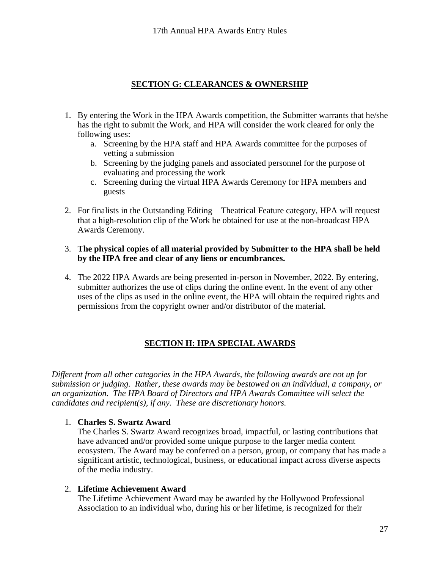#### **SECTION G: CLEARANCES & OWNERSHIP**

- <span id="page-26-0"></span>1. By entering the Work in the HPA Awards competition, the Submitter warrants that he/she has the right to submit the Work, and HPA will consider the work cleared for only the following uses:
	- a. Screening by the HPA staff and HPA Awards committee for the purposes of vetting a submission
	- b. Screening by the judging panels and associated personnel for the purpose of evaluating and processing the work
	- c. Screening during the virtual HPA Awards Ceremony for HPA members and guests
- 2. For finalists in the Outstanding Editing Theatrical Feature category, HPA will request that a high-resolution clip of the Work be obtained for use at the non-broadcast HPA Awards Ceremony.
- 3. **The physical copies of all material provided by Submitter to the HPA shall be held by the HPA free and clear of any liens or encumbrances.**
- 4. The 2022 HPA Awards are being presented in-person in November, 2022. By entering, submitter authorizes the use of clips during the online event. In the event of any other uses of the clips as used in the online event, the HPA will obtain the required rights and permissions from the copyright owner and/or distributor of the material.

# **SECTION H: HPA SPECIAL AWARDS**

<span id="page-26-1"></span>*Different from all other categories in the HPA Awards, the following awards are not up for submission or judging. Rather, these awards may be bestowed on an individual, a company, or an organization. The HPA Board of Directors and HPA Awards Committee will select the candidates and recipient(s), if any. These are discretionary honors.*

#### 1. **Charles S. Swartz Award**

The Charles S. Swartz Award recognizes broad, impactful, or lasting contributions that have advanced and/or provided some unique purpose to the larger media content ecosystem. The Award may be conferred on a person, group, or company that has made a significant artistic, technological, business, or educational impact across diverse aspects of the media industry.

#### 2. **Lifetime Achievement Award**

The Lifetime Achievement Award may be awarded by the Hollywood Professional Association to an individual who, during his or her lifetime, is recognized for their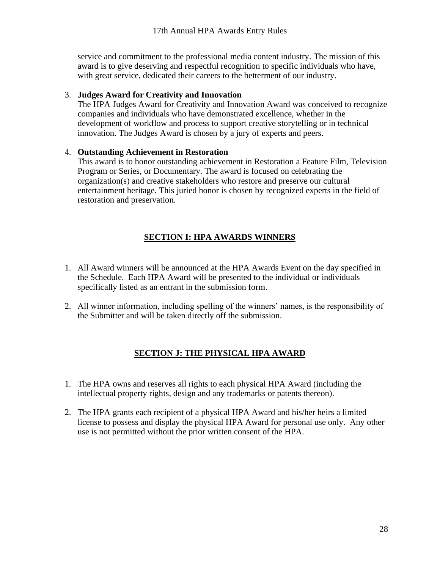service and commitment to the professional media content industry. The mission of this award is to give deserving and respectful recognition to specific individuals who have, with great service, dedicated their careers to the betterment of our industry.

#### 3. **Judges Award for Creativity and Innovation**

The HPA Judges Award for Creativity and Innovation Award was conceived to recognize companies and individuals who have demonstrated excellence, whether in the development of workflow and process to support creative storytelling or in technical innovation. The Judges Award is chosen by a jury of experts and peers.

#### 4. **Outstanding Achievement in Restoration**

This award is to honor outstanding achievement in Restoration a Feature Film, Television Program or Series, or Documentary. The award is focused on celebrating the organization(s) and creative stakeholders who restore and preserve our cultural entertainment heritage. This juried honor is chosen by recognized experts in the field of restoration and preservation.

# **SECTION I: HPA AWARDS WINNERS**

- <span id="page-27-0"></span>1. All Award winners will be announced at the HPA Awards Event on the day specified in the Schedule. Each HPA Award will be presented to the individual or individuals specifically listed as an entrant in the submission form.
- <span id="page-27-1"></span>2. All winner information, including spelling of the winners' names, is the responsibility of the Submitter and will be taken directly off the submission.

# **SECTION J: THE PHYSICAL HPA AWARD**

- 1. The HPA owns and reserves all rights to each physical HPA Award (including the intellectual property rights, design and any trademarks or patents thereon).
- 2. The HPA grants each recipient of a physical HPA Award and his/her heirs a limited license to possess and display the physical HPA Award for personal use only. Any other use is not permitted without the prior written consent of the HPA.